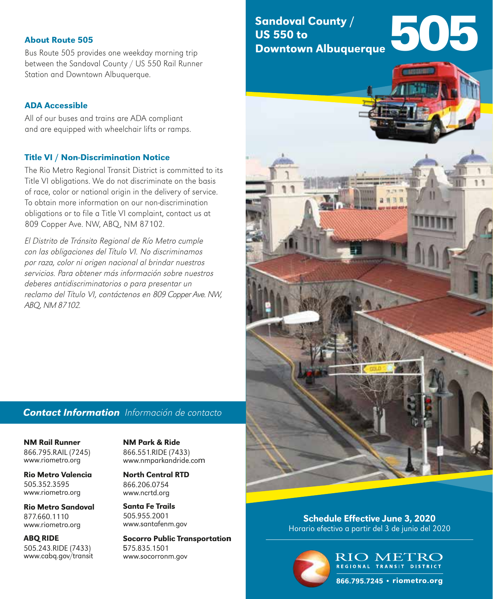### **About Route 505**

Bus Route 505 provides one weekday morning trip between the Sandoval County / US 550 Rail Runner Station and Downtown Albuquerque.

## ADA Accessible

All of our buses and trains are ADA compliant and are equipped with wheelchair lifts or ramps.

### Title VI / Non-Discrimination Notice

The Rio Metro Regional Transit District is committed to its Title VI obligations. We do not discriminate on the basis of race, color or national origin in the delivery of service. To obtain more information on our non-discrimination obligations or to file a Title VI complaint, contact us at 809 Copper Ave. NW, ABQ, NM 87102.

**About Route 505**<br>
Bus Route 505 provides one w<br>
between the Sandoval County<br>
Station and Downtown Albuqu<br> **ADA Accessible**<br>
All of our buses and trains are<br>
and are equipped with wheeld<br> **Title VI / Non-Discriminat**<br>
The El Distrito de Tránsito Regional de Río Metro cumple con las obligaciones del Título VI. No discriminamos por raza, color ni origen nacional al brindar nuestros servicios. Para obtener más información sobre nuestros deberes antidiscriminatorios o para presentar un reclamo del Título VI, contáctenos en 809 Copper Ave. NW, ABQ, NM 87102.

## *Contact Information* Información de contacto

NM Rail Runner 866.795.RAIL (7245) www.riometro.org

Rio Metro Valencia 505.352.3595 www.riometro.org **NM Rail Runner NM Park & Ride**<br>
866.795.RAIL (7245) 866.551.RIDE (74.<br>www.riometro.org<br> **Rio Metro Valencia North Central R**<br>
505.352.3595 866.206.0754<br>www.riometro.org<br>
www.ncrtd.org

Rio Metro Sandoval 877.660.1110 www.riometro.org

ABQ RIDE 505.243.RIDE (7433) www.cabq.gov/transit 866.551.RIDE (7433) www.nmparkandride.com

North Central RTD North Central RTD866.206.0754 www.ncrtd.org

Santa Fe Trails 505.955.2001 www.santafenm.gov

Socorro Public Transportation n575.835.1501 www.socorronm.gov

Sandoval County / US 550 to Downtown Albuquerque



Schedule Effective June 3, 2020 Horario efectivo a partir del 3 de junio del 2020



RIO METRO REGIONAL TRANSIT DISTRICT

866.795.7245 • riometro.org